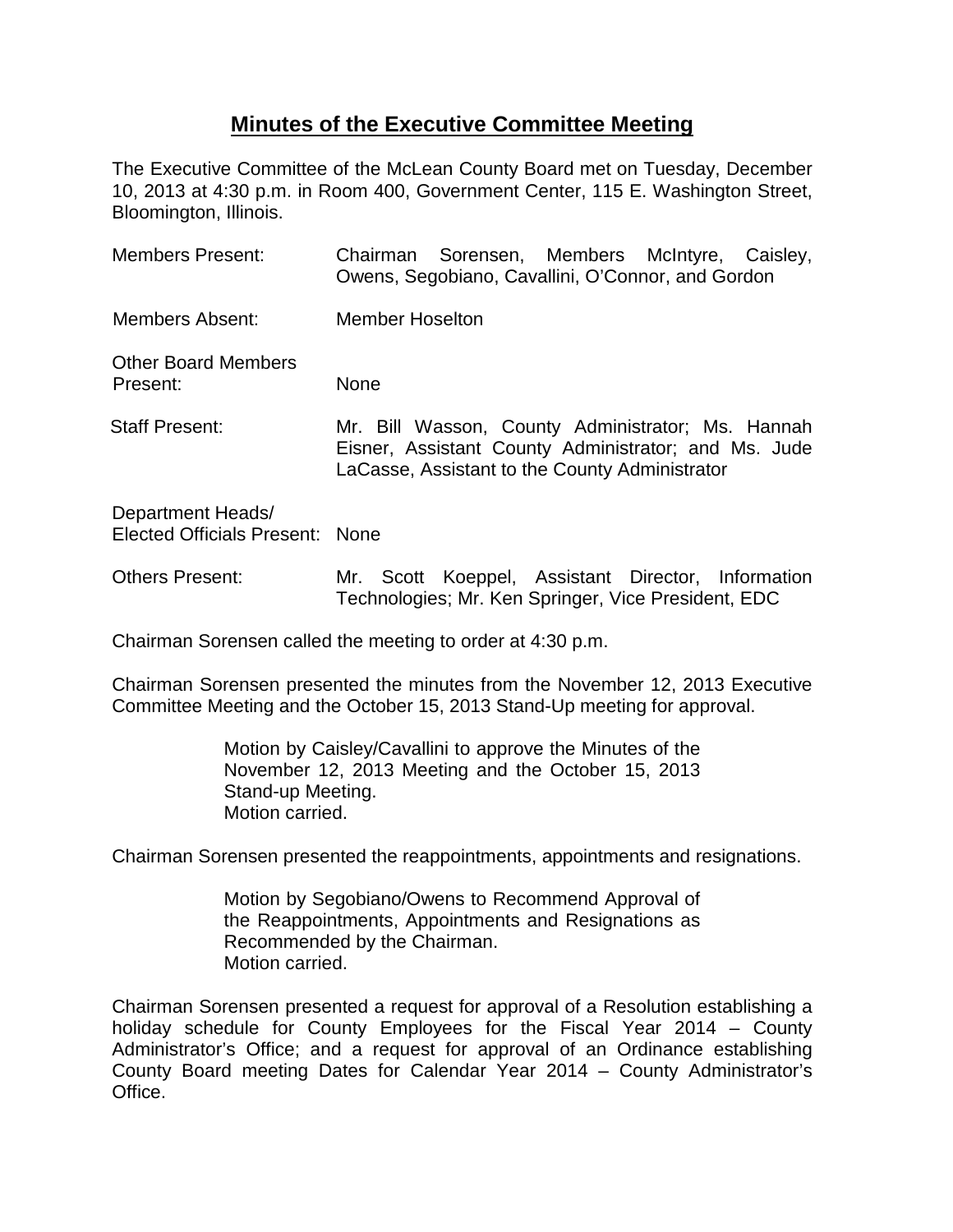## **Minutes of the Executive Committee Meeting**

The Executive Committee of the McLean County Board met on Tuesday, December 10, 2013 at 4:30 p.m. in Room 400, Government Center, 115 E. Washington Street, Bloomington, Illinois.

| <b>Members Present:</b>                              | Chairman Sorensen, Members McIntyre, Caisley,<br>Owens, Segobiano, Cavallini, O'Connor, and Gordon                                                          |
|------------------------------------------------------|-------------------------------------------------------------------------------------------------------------------------------------------------------------|
| Members Absent:                                      | <b>Member Hoselton</b>                                                                                                                                      |
| <b>Other Board Members</b><br>Present:               | <b>None</b>                                                                                                                                                 |
| <b>Staff Present:</b>                                | Mr. Bill Wasson, County Administrator; Ms. Hannah<br>Eisner, Assistant County Administrator; and Ms. Jude<br>LaCasse, Assistant to the County Administrator |
| Department Heads/<br>Elected Officials Present: None |                                                                                                                                                             |
| <b>Others Present:</b>                               | Scott Koeppel, Assistant Director, Information<br>Mr.<br>Technologies; Mr. Ken Springer, Vice President, EDC                                                |

Chairman Sorensen called the meeting to order at 4:30 p.m.

Chairman Sorensen presented the minutes from the November 12, 2013 Executive Committee Meeting and the October 15, 2013 Stand-Up meeting for approval.

> Motion by Caisley/Cavallini to approve the Minutes of the November 12, 2013 Meeting and the October 15, 2013 Stand-up Meeting. Motion carried.

Chairman Sorensen presented the reappointments, appointments and resignations.

Motion by Segobiano/Owens to Recommend Approval of the Reappointments, Appointments and Resignations as Recommended by the Chairman. Motion carried.

Chairman Sorensen presented a request for approval of a Resolution establishing a holiday schedule for County Employees for the Fiscal Year 2014 – County Administrator's Office; and a request for approval of an Ordinance establishing County Board meeting Dates for Calendar Year 2014 – County Administrator's Office.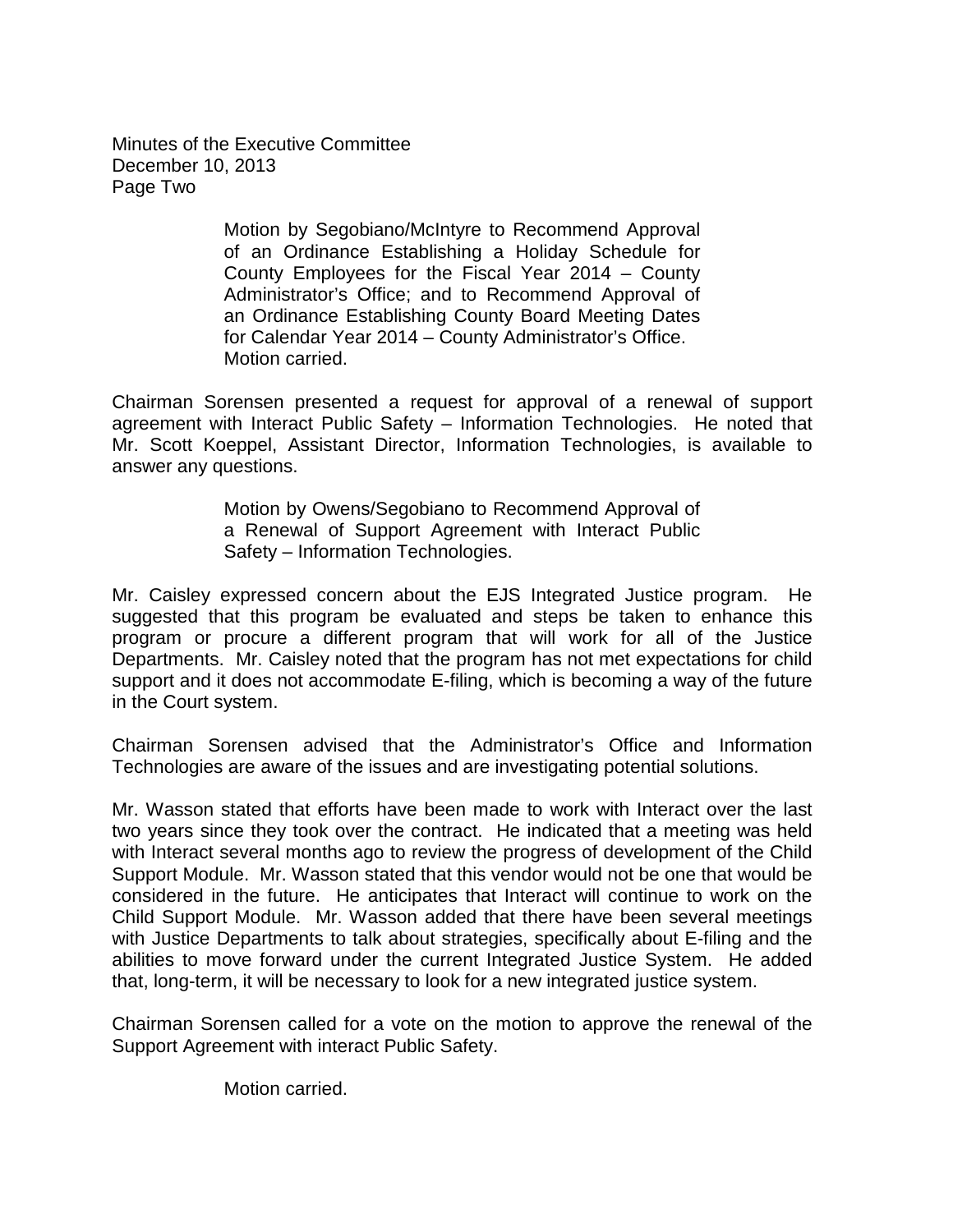Minutes of the Executive Committee December 10, 2013 Page Two

> Motion by Segobiano/McIntyre to Recommend Approval of an Ordinance Establishing a Holiday Schedule for County Employees for the Fiscal Year 2014 – County Administrator's Office; and to Recommend Approval of an Ordinance Establishing County Board Meeting Dates for Calendar Year 2014 – County Administrator's Office. Motion carried.

Chairman Sorensen presented a request for approval of a renewal of support agreement with Interact Public Safety – Information Technologies. He noted that Mr. Scott Koeppel, Assistant Director, Information Technologies, is available to answer any questions.

> Motion by Owens/Segobiano to Recommend Approval of a Renewal of Support Agreement with Interact Public Safety – Information Technologies.

Mr. Caisley expressed concern about the EJS Integrated Justice program. He suggested that this program be evaluated and steps be taken to enhance this program or procure a different program that will work for all of the Justice Departments. Mr. Caisley noted that the program has not met expectations for child support and it does not accommodate E-filing, which is becoming a way of the future in the Court system.

Chairman Sorensen advised that the Administrator's Office and Information Technologies are aware of the issues and are investigating potential solutions.

Mr. Wasson stated that efforts have been made to work with Interact over the last two years since they took over the contract. He indicated that a meeting was held with Interact several months ago to review the progress of development of the Child Support Module. Mr. Wasson stated that this vendor would not be one that would be considered in the future. He anticipates that Interact will continue to work on the Child Support Module. Mr. Wasson added that there have been several meetings with Justice Departments to talk about strategies, specifically about E-filing and the abilities to move forward under the current Integrated Justice System. He added that, long-term, it will be necessary to look for a new integrated justice system.

Chairman Sorensen called for a vote on the motion to approve the renewal of the Support Agreement with interact Public Safety.

Motion carried.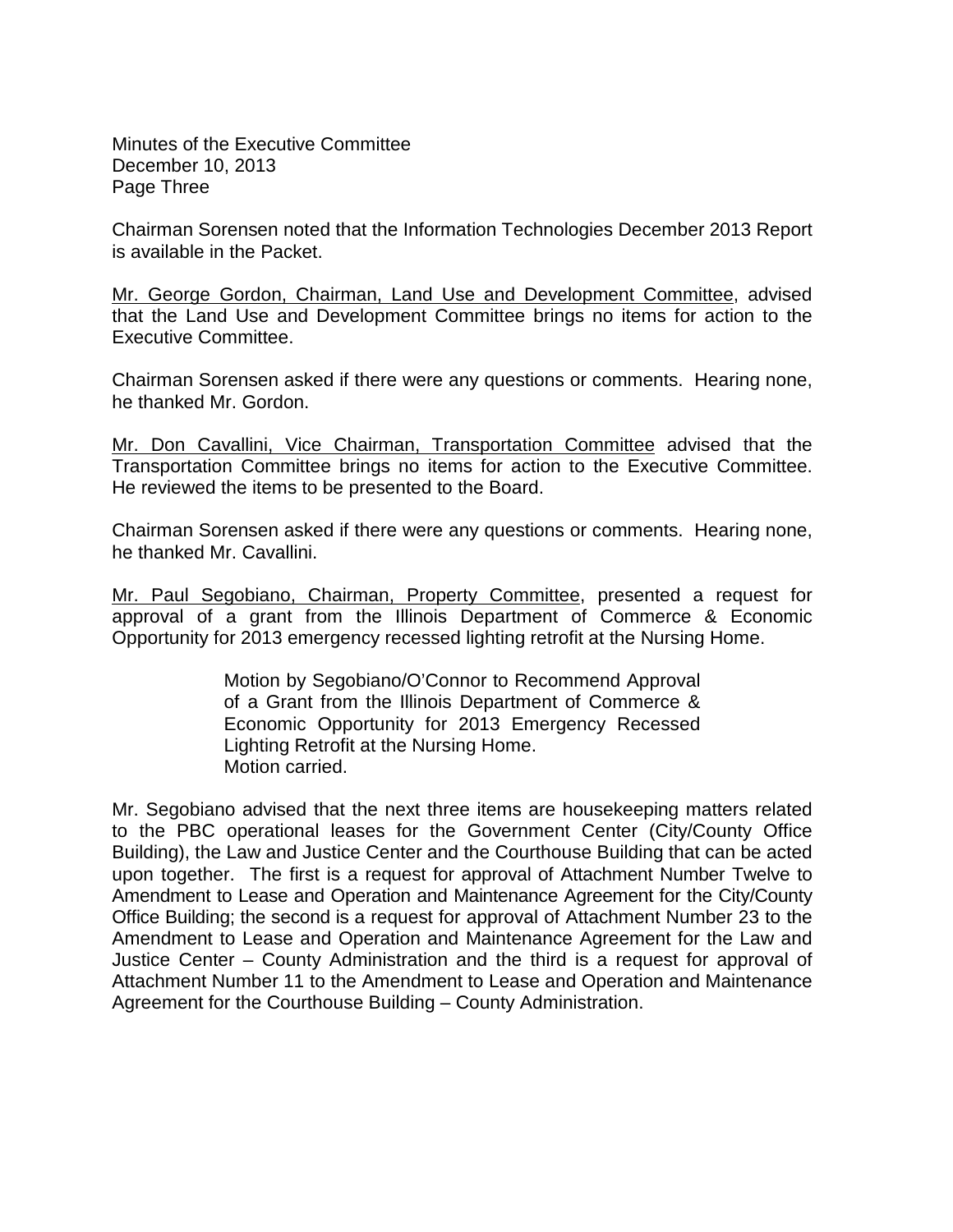Minutes of the Executive Committee December 10, 2013 Page Three

Chairman Sorensen noted that the Information Technologies December 2013 Report is available in the Packet.

Mr. George Gordon, Chairman, Land Use and Development Committee, advised that the Land Use and Development Committee brings no items for action to the Executive Committee.

Chairman Sorensen asked if there were any questions or comments. Hearing none, he thanked Mr. Gordon.

Mr. Don Cavallini, Vice Chairman, Transportation Committee advised that the Transportation Committee brings no items for action to the Executive Committee. He reviewed the items to be presented to the Board.

Chairman Sorensen asked if there were any questions or comments. Hearing none, he thanked Mr. Cavallini.

Mr. Paul Segobiano, Chairman, Property Committee, presented a request for approval of a grant from the Illinois Department of Commerce & Economic Opportunity for 2013 emergency recessed lighting retrofit at the Nursing Home.

> Motion by Segobiano/O'Connor to Recommend Approval of a Grant from the Illinois Department of Commerce & Economic Opportunity for 2013 Emergency Recessed Lighting Retrofit at the Nursing Home. Motion carried.

Mr. Segobiano advised that the next three items are housekeeping matters related to the PBC operational leases for the Government Center (City/County Office Building), the Law and Justice Center and the Courthouse Building that can be acted upon together. The first is a request for approval of Attachment Number Twelve to Amendment to Lease and Operation and Maintenance Agreement for the City/County Office Building; the second is a request for approval of Attachment Number 23 to the Amendment to Lease and Operation and Maintenance Agreement for the Law and Justice Center – County Administration and the third is a request for approval of Attachment Number 11 to the Amendment to Lease and Operation and Maintenance Agreement for the Courthouse Building – County Administration.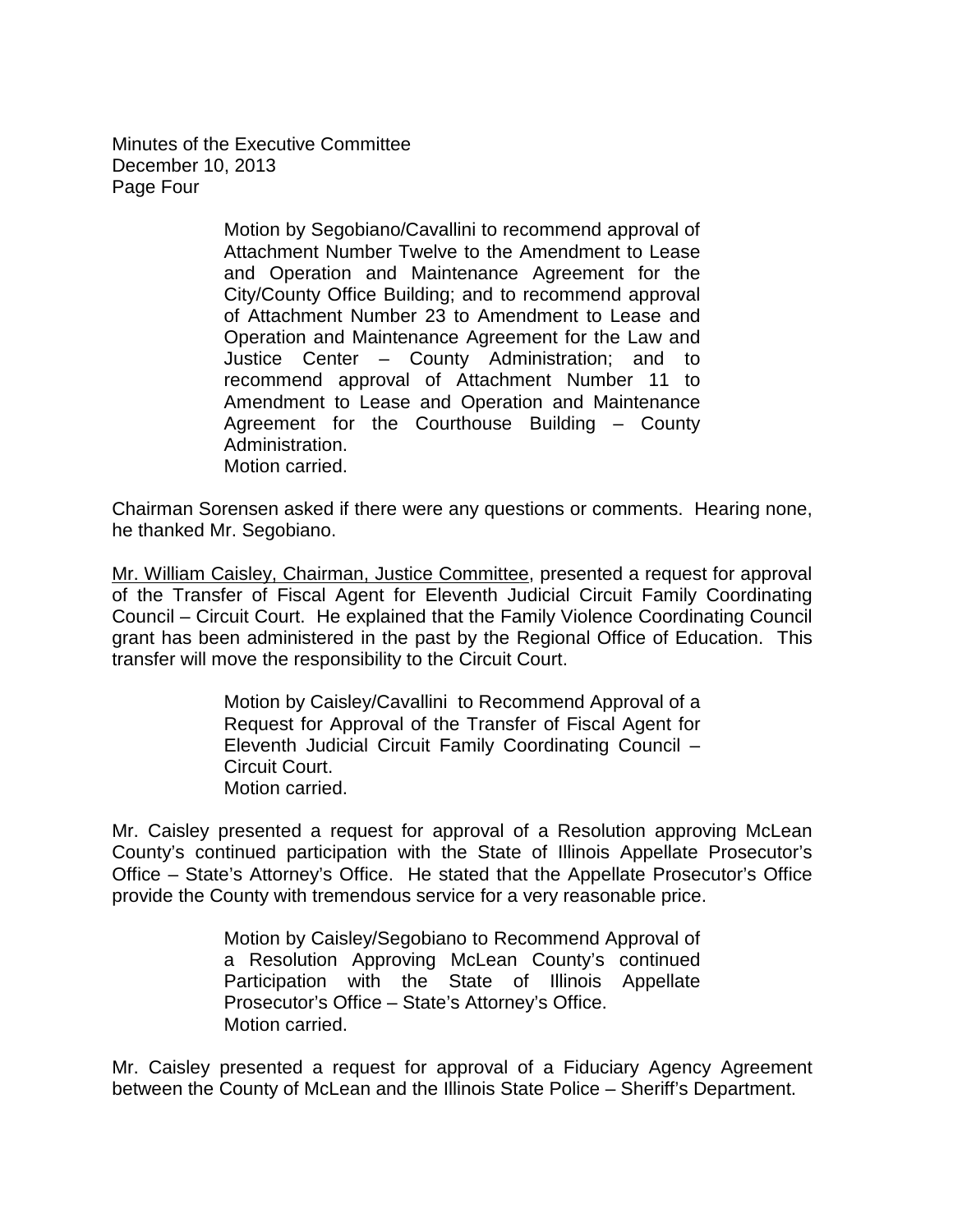Minutes of the Executive Committee December 10, 2013 Page Four

> Motion by Segobiano/Cavallini to recommend approval of Attachment Number Twelve to the Amendment to Lease and Operation and Maintenance Agreement for the City/County Office Building; and to recommend approval of Attachment Number 23 to Amendment to Lease and Operation and Maintenance Agreement for the Law and Justice Center – County Administration; and to recommend approval of Attachment Number 11 to Amendment to Lease and Operation and Maintenance Agreement for the Courthouse Building – County Administration. Motion carried.

Chairman Sorensen asked if there were any questions or comments. Hearing none, he thanked Mr. Segobiano.

Mr. William Caisley, Chairman, Justice Committee, presented a request for approval of the Transfer of Fiscal Agent for Eleventh Judicial Circuit Family Coordinating Council – Circuit Court. He explained that the Family Violence Coordinating Council grant has been administered in the past by the Regional Office of Education. This transfer will move the responsibility to the Circuit Court.

> Motion by Caisley/Cavallini to Recommend Approval of a Request for Approval of the Transfer of Fiscal Agent for Eleventh Judicial Circuit Family Coordinating Council – Circuit Court. Motion carried.

Mr. Caisley presented a request for approval of a Resolution approving McLean County's continued participation with the State of Illinois Appellate Prosecutor's Office – State's Attorney's Office. He stated that the Appellate Prosecutor's Office provide the County with tremendous service for a very reasonable price.

> Motion by Caisley/Segobiano to Recommend Approval of a Resolution Approving McLean County's continued Participation with the State of Illinois Appellate Prosecutor's Office – State's Attorney's Office. Motion carried.

Mr. Caisley presented a request for approval of a Fiduciary Agency Agreement between the County of McLean and the Illinois State Police – Sheriff's Department.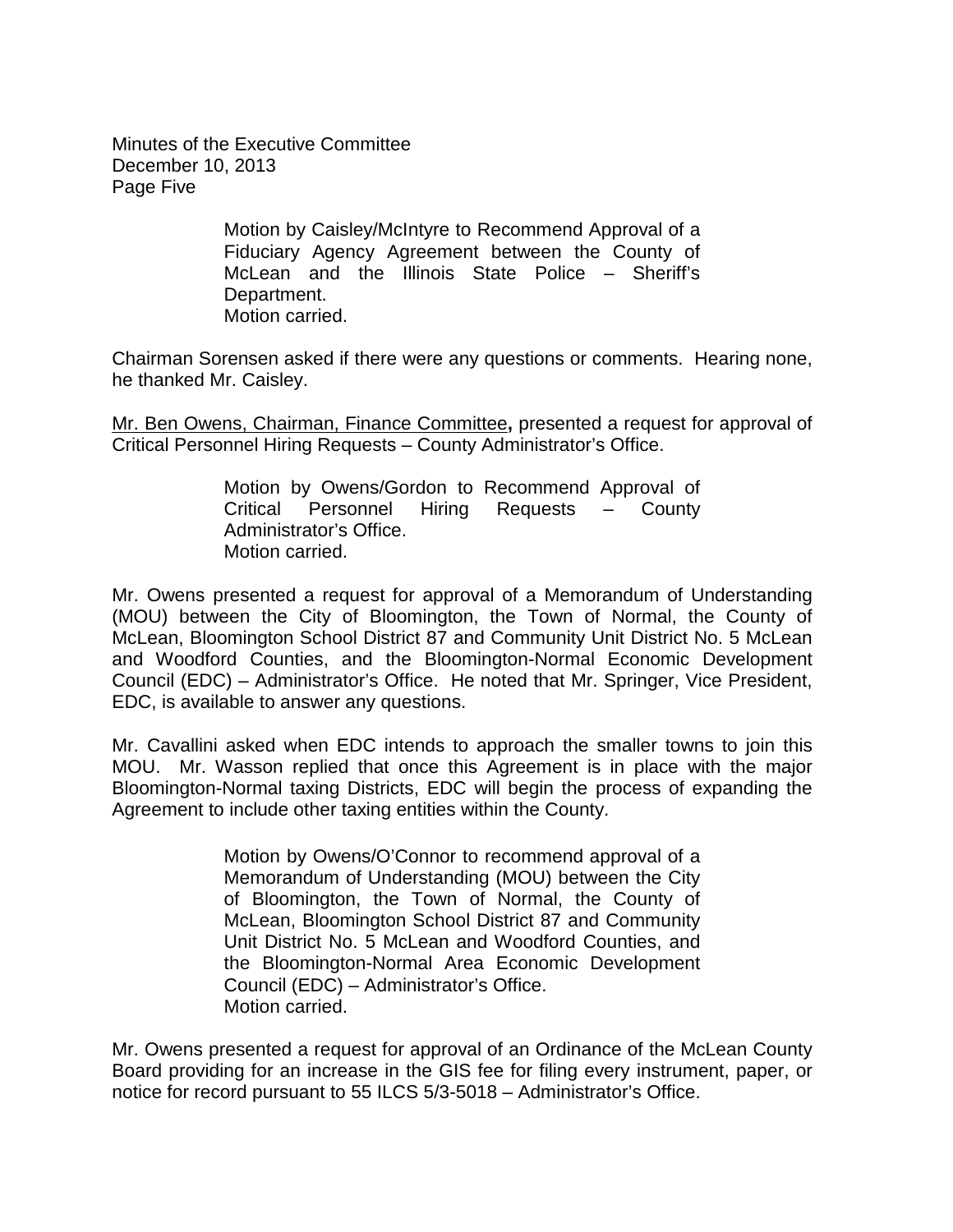Minutes of the Executive Committee December 10, 2013 Page Five

> Motion by Caisley/McIntyre to Recommend Approval of a Fiduciary Agency Agreement between the County of McLean and the Illinois State Police – Sheriff's Department. Motion carried.

Chairman Sorensen asked if there were any questions or comments. Hearing none, he thanked Mr. Caisley.

Mr. Ben Owens, Chairman, Finance Committee**,** presented a request for approval of Critical Personnel Hiring Requests – County Administrator's Office.

> Motion by Owens/Gordon to Recommend Approval of Critical Personnel Hiring Requests – County Administrator's Office. Motion carried.

Mr. Owens presented a request for approval of a Memorandum of Understanding (MOU) between the City of Bloomington, the Town of Normal, the County of McLean, Bloomington School District 87 and Community Unit District No. 5 McLean and Woodford Counties, and the Bloomington-Normal Economic Development Council (EDC) – Administrator's Office. He noted that Mr. Springer, Vice President, EDC, is available to answer any questions.

Mr. Cavallini asked when EDC intends to approach the smaller towns to join this MOU. Mr. Wasson replied that once this Agreement is in place with the major Bloomington-Normal taxing Districts, EDC will begin the process of expanding the Agreement to include other taxing entities within the County.

> Motion by Owens/O'Connor to recommend approval of a Memorandum of Understanding (MOU) between the City of Bloomington, the Town of Normal, the County of McLean, Bloomington School District 87 and Community Unit District No. 5 McLean and Woodford Counties, and the Bloomington-Normal Area Economic Development Council (EDC) – Administrator's Office. Motion carried.

Mr. Owens presented a request for approval of an Ordinance of the McLean County Board providing for an increase in the GIS fee for filing every instrument, paper, or notice for record pursuant to 55 ILCS 5/3-5018 – Administrator's Office.